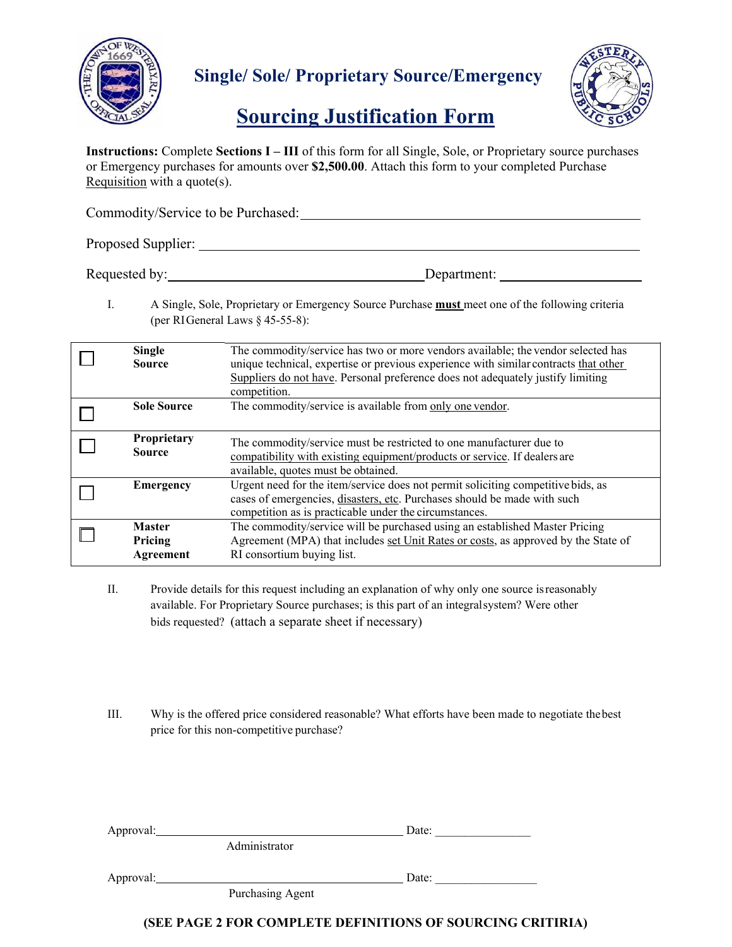

## **Single/ Sole/ Proprietary Source/Emergency**



## **Sourcing Justification Form**

**Instructions:** Complete **Sections I – III** of this form for all Single, Sole, or Proprietary source purchases or Emergency purchases for amounts over **\$2,500.00**. Attach this form to your completed Purchase Requisition with a quote(s).

| Commodity/Service to be Purchased: |             |  |  |  |  |  |
|------------------------------------|-------------|--|--|--|--|--|
| Proposed Supplier:                 |             |  |  |  |  |  |
| Requested by:                      | Department: |  |  |  |  |  |

I. A Single, Sole, Proprietary or Emergency Source Purchase **must** meet one of the following criteria (per RI General Laws § 45-55-8):

| <b>Single</b><br><b>Source</b>        | The commodity/service has two or more vendors available; the vendor selected has<br>unique technical, expertise or previous experience with similar contracts that other<br>Suppliers do not have. Personal preference does not adequately justify limiting<br>competition. |
|---------------------------------------|-----------------------------------------------------------------------------------------------------------------------------------------------------------------------------------------------------------------------------------------------------------------------------|
| <b>Sole Source</b>                    | The commodity/service is available from only one vendor.                                                                                                                                                                                                                    |
| Proprietary<br><b>Source</b>          | The commodity/service must be restricted to one manufacturer due to<br>compatibility with existing equipment/products or service. If dealers are<br>available, quotes must be obtained.                                                                                     |
| Emergency                             | Urgent need for the item/service does not permit soliciting competitive bids, as<br>cases of emergencies, disasters, etc. Purchases should be made with such<br>competition as is practicable under the circumstances.                                                      |
| <b>Master</b><br>Pricing<br>Agreement | The commodity/service will be purchased using an established Master Pricing<br>Agreement (MPA) that includes set Unit Rates or costs, as approved by the State of<br>RI consortium buying list.                                                                             |

- II. Provide details for this request including an explanation of why only one source is reasonably available. For Proprietary Source purchases; is this part of an integral system? Were other bids requested? (attach a separate sheet if necessary)
- III. Why is the offered price considered reasonable? What efforts have been made to negotiate the best price for this non-competitive purchase?

| Approval: |                  | Date: |  |
|-----------|------------------|-------|--|
|           | Administrator    |       |  |
| Approval: |                  | Date: |  |
|           | Purchasing Agent |       |  |

## **(SEE PAGE 2 FOR COMPLETE DEFINITIONS OF SOURCING CRITIRIA)**